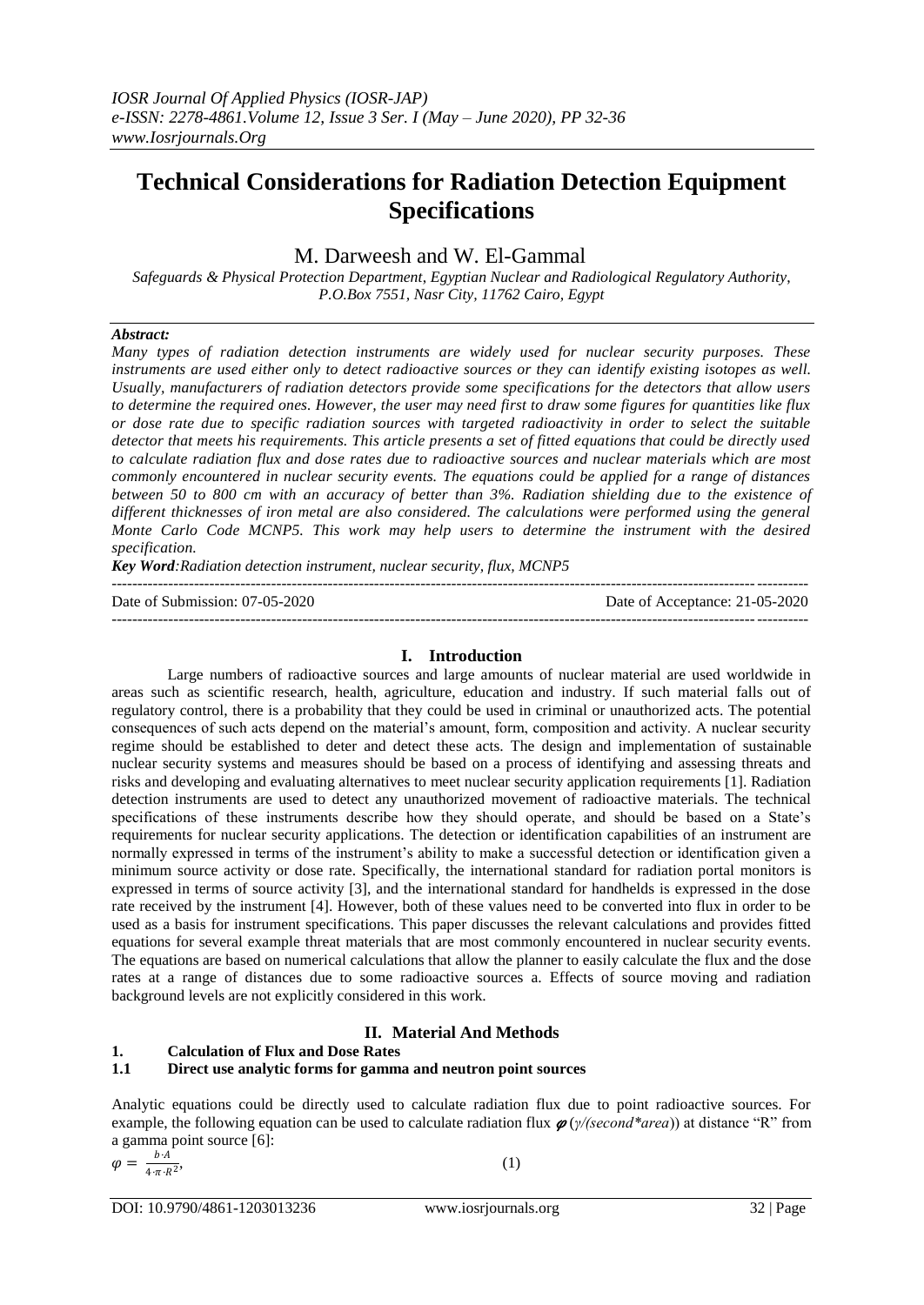## **Technical Considerations for Radiation Detection Equipment Specifications**

## M. Darweesh and W. El-Gammal

*Safeguards & Physical Protection Department*, *Egyptian Nuclear and Radiological Regulatory Authority*, *P.O.Box 7551, Nasr City, 11762 Cairo, Egypt*

#### *Abstract:*

*Many types of radiation detection instruments are widely used for nuclear security purposes. These instruments are used either only to detect radioactive sources or they can identify existing isotopes as well. Usually, manufacturers of radiation detectors provide some specifications for the detectors that allow users to determine the required ones. However, the user may need first to draw some figures for quantities like flux or dose rate due to specific radiation sources with targeted radioactivity in order to select the suitable detector that meets his requirements. This article presents a set of fitted equations that could be directly used to calculate radiation flux and dose rates due to radioactive sources and nuclear materials which are most commonly encountered in nuclear security events. The equations could be applied for a range of distances between 50 to 800 cm with an accuracy of better than 3%. Radiation shielding due to the existence of different thicknesses of iron metal are also considered. The calculations were performed using the general Monte Carlo Code MCNP5. This work may help users to determine the instrument with the desired specification.*

*Key Word:Radiation detection instrument, nuclear security, flux, MCNP5*

--------------------------------------------------------------------------------------------------------------------------------------- Date of Submission: 07-05-2020 Date of Acceptance: 21-05-2020 ---------------------------------------------------------------------------------------------------------------------------------------

#### **I. Introduction**

Large numbers of radioactive sources and large amounts of nuclear material are used worldwide in areas such as scientific research, health, agriculture, education and industry. If such material falls out of regulatory control, there is a probability that they could be used in criminal or unauthorized acts. The potential consequences of such acts depend on the material's amount, form, composition and activity. A nuclear security regime should be established to deter and detect these acts. The design and implementation of sustainable nuclear security systems and measures should be based on a process of identifying and assessing threats and risks and developing and evaluating alternatives to meet nuclear security application requirements [1]. Radiation detection instruments are used to detect any unauthorized movement of radioactive materials. The technical specifications of these instruments describe how they should operate, and should be based on a State's requirements for nuclear security applications. The detection or identification capabilities of an instrument are normally expressed in terms of the instrument's ability to make a successful detection or identification given a minimum source activity or dose rate. Specifically, the international standard for radiation portal monitors is expressed in terms of source activity [3], and the international standard for handhelds is expressed in the dose rate received by the instrument [4]. However, both of these values need to be converted into flux in order to be used as a basis for instrument specifications. This paper discusses the relevant calculations and provides fitted equations for several example threat materials that are most commonly encountered in nuclear security events. The equations are based on numerical calculations that allow the planner to easily calculate the flux and the dose rates at a range of distances due to some radioactive sources a. Effects of source moving and radiation background levels are not explicitly considered in this work.

## **II. Material And Methods**

#### **1. Calculation of Flux and Dose Rates**

#### **1.1 Direct use analytic forms for gamma and neutron point sources**

Analytic equations could be directly used to calculate radiation flux due to point radioactive sources. For example, the following equation can be used to calculate radiation flux  $\varphi(\gamma/(second^*area))$  at distance "R" from a gamma point source [6]:

$$
\varphi = \frac{b \cdot A}{4 \cdot \pi \cdot R^2},
$$

 $\hspace{1.6cm}$ , (1)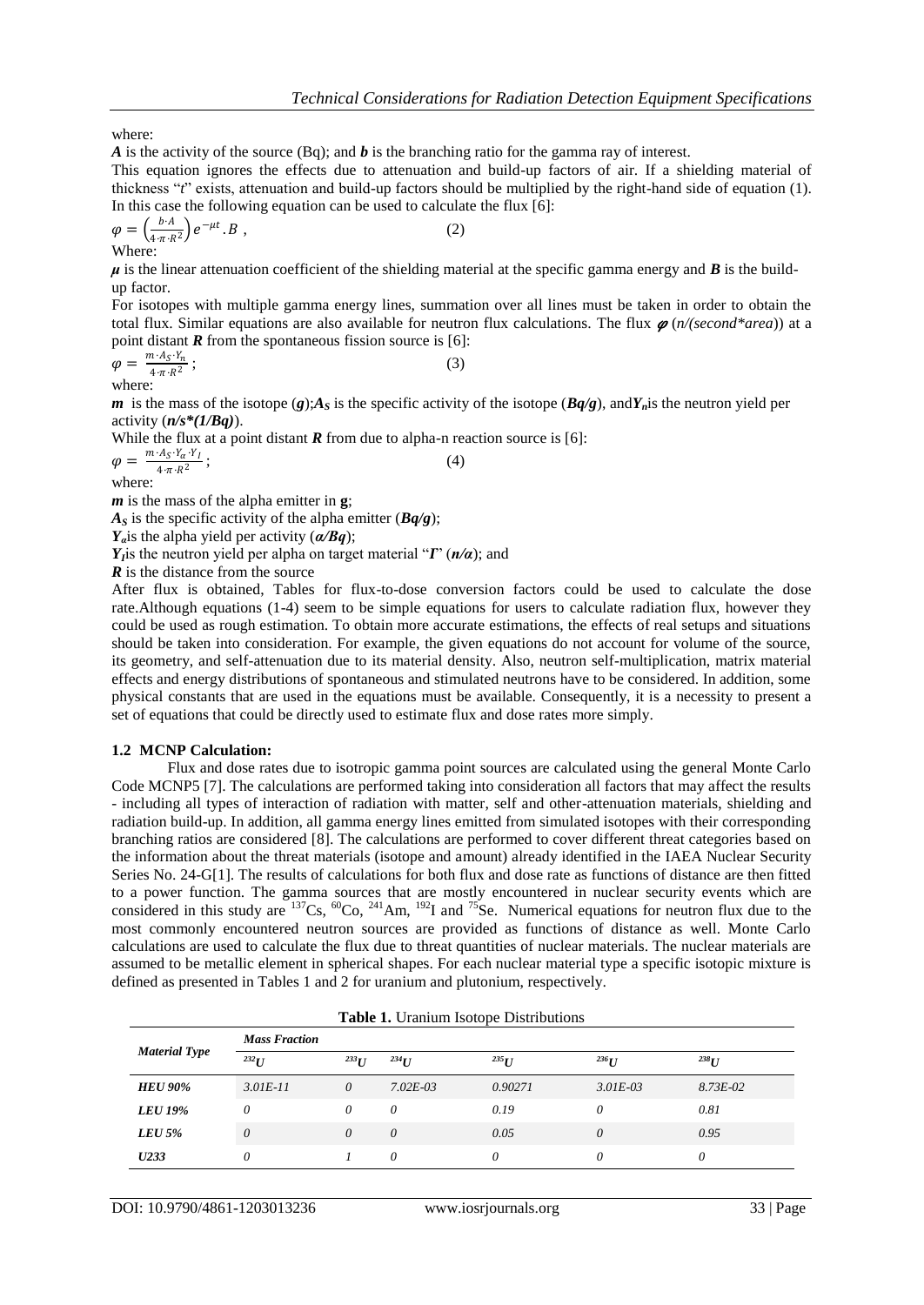where:

*A* is the activity of the source (Bq); and *b* is the branching ratio for the gamma ray of interest.

This equation ignores the effects due to attenuation and build-up factors of air. If a shielding material of thickness "*t*" exists, attenuation and build-up factors should be multiplied by the right-hand side of equation (1). In this case the following equation can be used to calculate the flux [6]:

$$
\varphi = \left(\frac{b \cdot A}{4 \pi \cdot R^2}\right) e^{-\mu t} \cdot B \tag{2}
$$
\nWhere:

 $\mu$  is the linear attenuation coefficient of the shielding material at the specific gamma energy and  $\bm{B}$  is the buildup factor.

For isotopes with multiple gamma energy lines, summation over all lines must be taken in order to obtain the total flux. Similar equations are also available for neutron flux calculations. The flux  $\varphi$  (*n*/(second\*area)) at a point distant *R* from the spontaneous fission source is [6]:

$$
\varphi = \frac{m \cdot A_S \cdot Y_n}{4 \cdot \pi \cdot R^2};
$$
\n(3)

where:

*m* is the mass of the isotope (*g*); $A_S$  is the specific activity of the isotope (*Bq/g*), and $Y_n$  is the neutron yield per activity (*n/s\*(1/Bq)*).

While the flux at a point distant  *from due to alpha-n reaction source is [6]:* 

 $\varphi = \frac{m \cdot A_S \cdot Y_\alpha \cdot Y_I}{4 \pi R^2}$  $4 \cdot \pi \cdot R^2$ ;  $(4)$ 

where:

*m* is the mass of the alpha emitter in **g**;

 $A<sub>S</sub>$  is the specific activity of the alpha emitter ( $Bq/g$ );

*Yα*is the alpha yield per activity (*α/Bq*);

*Y*<sub>*I*</sub><sup>is</sup> the neutron yield per alpha on target material " $I$ " ( $n/a$ ); and

*R* is the distance from the source

After flux is obtained, Tables for flux-to-dose conversion factors could be used to calculate the dose rate.Although equations (1-4) seem to be simple equations for users to calculate radiation flux, however they could be used as rough estimation. To obtain more accurate estimations, the effects of real setups and situations should be taken into consideration. For example, the given equations do not account for volume of the source, its geometry, and self-attenuation due to its material density. Also, neutron self-multiplication, matrix material effects and energy distributions of spontaneous and stimulated neutrons have to be considered. In addition, some physical constants that are used in the equations must be available. Consequently, it is a necessity to present a set of equations that could be directly used to estimate flux and dose rates more simply.

#### **1.2 MCNP Calculation:**

Flux and dose rates due to isotropic gamma point sources are calculated using the general Monte Carlo Code MCNP5 [7]. The calculations are performed taking into consideration all factors that may affect the results - including all types of interaction of radiation with matter, self and other-attenuation materials, shielding and radiation build-up. In addition, all gamma energy lines emitted from simulated isotopes with their corresponding branching ratios are considered [8]. The calculations are performed to cover different threat categories based on the information about the threat materials (isotope and amount) already identified in the IAEA Nuclear Security Series No. 24-G[1]. The results of calculations for both flux and dose rate as functions of distance are then fitted to a power function. The gamma sources that are mostly encountered in nuclear security events which are considered in this study are  $137Cs$ ,  $60Co$ ,  $241Am$ ,  $192I$  and  $75Se$ . Numerical equations for neutron flux due to the most commonly encountered neutron sources are provided as functions of distance as well. Monte Carlo calculations are used to calculate the flux due to threat quantities of nuclear materials. The nuclear materials are assumed to be metallic element in spherical shapes. For each nuclear material type a specific isotopic mixture is defined as presented in Tables 1 and 2 for uranium and plutonium, respectively.

|                      | <b>Mass Fraction</b> |           |              | <b>Table 1.</b> Uranium Isotope Distributions |              |              |
|----------------------|----------------------|-----------|--------------|-----------------------------------------------|--------------|--------------|
| <b>Material Type</b> | $^{232}$ I           | $^{233}U$ | $^{234}$ U   | $^{235}$ U                                    | $^{236}U$    | $^{238}$ U   |
| <b>HEU 90%</b>       | $3.01E-11$           | $\theta$  | $7.02E - 03$ | 0.90271                                       | $3.01E - 03$ | $8.73E - 02$ |
| <b>LEU 19%</b>       | 0                    | 0         | 0            | 0.19                                          | 0            | 0.81         |
| $LEU$ 5%             | 0                    | $\theta$  | $\theta$     | 0.05                                          | $\theta$     | 0.95         |
| U233                 | 0                    |           | 0            | 0                                             | 0            | 0            |

**Table 1. Uranium Isotope Distribution**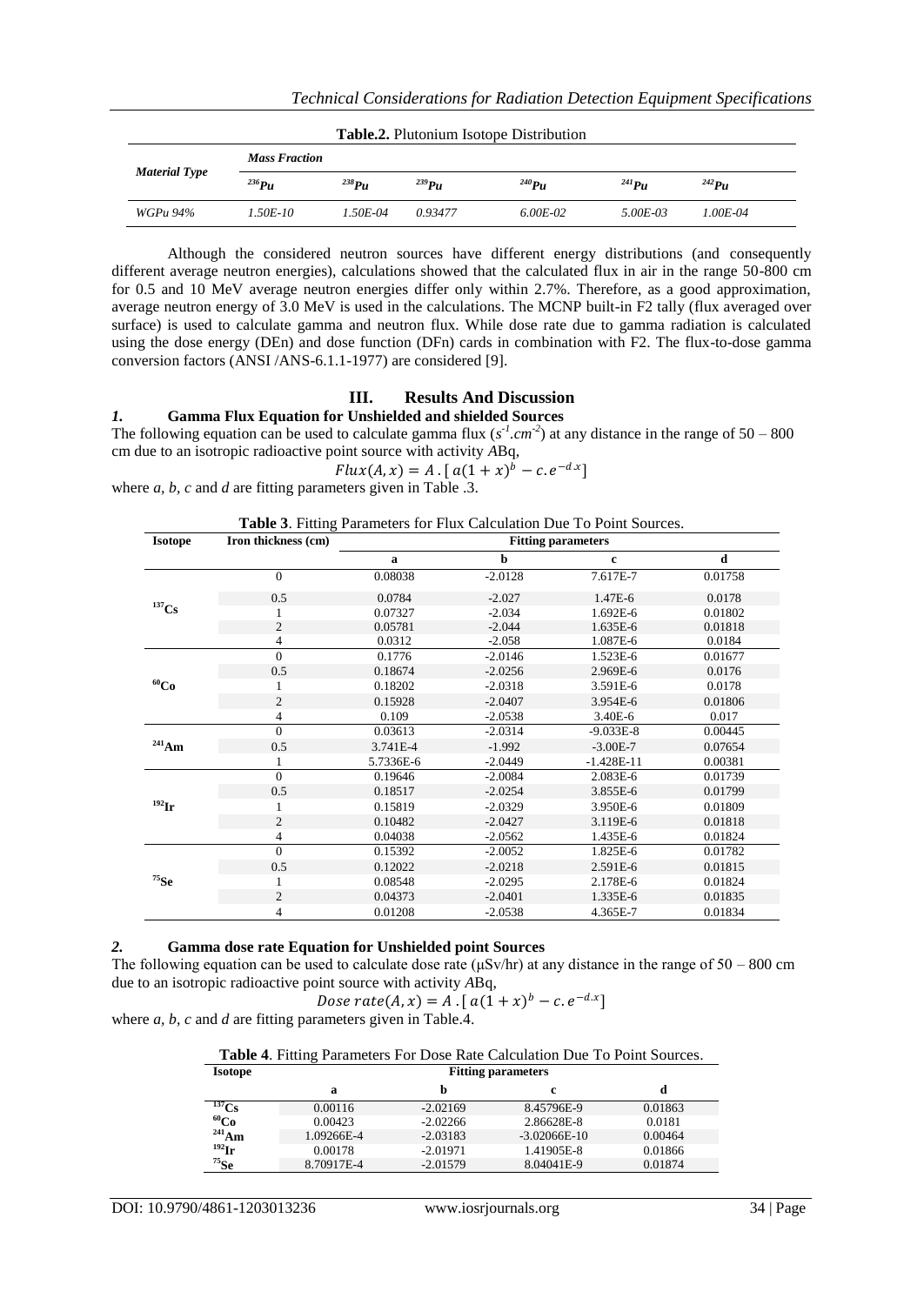| <b>Table.2.</b> Plutonium Isotope Distribution |                      |              |            |            |             |              |  |  |
|------------------------------------------------|----------------------|--------------|------------|------------|-------------|--------------|--|--|
| <b>Material Type</b>                           | <b>Mass Fraction</b> |              |            |            |             |              |  |  |
|                                                | $^{236}Pu$           | $^{238}PU$   | $^{239}Pu$ | $^{240}Pu$ | $^{241}$ Pu | $^{242}Pu$   |  |  |
| WGPu 94%                                       | $1.50E - 10$         | $1.50E - 04$ | 0.93477    | 6.00E-02   | 5.00E-03    | $1.00E - 04$ |  |  |

Although the considered neutron sources have different energy distributions (and consequently different average neutron energies), calculations showed that the calculated flux in air in the range 50-800 cm for 0.5 and 10 MeV average neutron energies differ only within 2.7%. Therefore, as a good approximation, average neutron energy of 3.0 MeV is used in the calculations. The MCNP built-in F2 tally (flux averaged over surface) is used to calculate gamma and neutron flux. While dose rate due to gamma radiation is calculated using the dose energy (DEn) and dose function (DFn) cards in combination with F2. The flux-to-dose gamma conversion factors (ANSI /ANS-6.1.1-1977) are considered [9].

## **III. Results And Discussion**

## *1.* **Gamma Flux Equation for Unshielded and shielded Sources**

The following equation can be used to calculate gamma flux  $(s<sup>1</sup> cm<sup>2</sup>)$  at any distance in the range of 50 – 800 cm due to an isotropic radioactive point source with activity *A*Bq,

$$
Flux(A, x) = A \cdot [a(1 + x)^b - c \cdot e^{-dx}]
$$

where *a*, *b*, *c* and *d* are fitting parameters given in Table .3.

| <b>Table 3.</b> Fitting Parameters for Flux Calculation Due To Point Sources. |  |  |  |
|-------------------------------------------------------------------------------|--|--|--|
|-------------------------------------------------------------------------------|--|--|--|

| <b>Isotope</b>      | Iron thickness (cm) | <b>Fitting parameters</b> |           |              |         |  |  |  |  |
|---------------------|---------------------|---------------------------|-----------|--------------|---------|--|--|--|--|
|                     |                     | a                         | b         | $\mathbf{c}$ | d       |  |  |  |  |
|                     | 0                   | 0.08038                   | $-2.0128$ | 7.617E-7     | 0.01758 |  |  |  |  |
| $137$ Cs            | 0.5                 | 0.0784                    | $-2.027$  | 1.47E-6      | 0.0178  |  |  |  |  |
|                     |                     | 0.07327                   | $-2.034$  | 1.692E-6     | 0.01802 |  |  |  |  |
|                     | $\mathbf{2}$        | 0.05781                   | $-2.044$  | 1.635E-6     | 0.01818 |  |  |  |  |
|                     | 4                   | 0.0312                    | $-2.058$  | 1.087E-6     | 0.0184  |  |  |  |  |
|                     | $\mathbf{0}$        | 0.1776                    | $-2.0146$ | 1.523E-6     | 0.01677 |  |  |  |  |
|                     | 0.5                 | 0.18674                   | $-2.0256$ | 2.969E-6     | 0.0176  |  |  |  |  |
| $^{60}Co$           | 1                   | 0.18202                   | $-2.0318$ | 3.591E-6     | 0.0178  |  |  |  |  |
|                     | $\overline{c}$      | 0.15928                   | $-2.0407$ | 3.954E-6     | 0.01806 |  |  |  |  |
|                     | 4                   | 0.109                     | $-2.0538$ | 3.40E-6      | 0.017   |  |  |  |  |
|                     | $\overline{0}$      | 0.03613                   | $-2.0314$ | $-9.033E-8$  | 0.00445 |  |  |  |  |
| $^{241}\mathrm{Am}$ | 0.5                 | 3.741E-4                  | $-1.992$  | $-3.00E - 7$ | 0.07654 |  |  |  |  |
|                     |                     | 5.7336E-6                 | $-2.0449$ | $-1.428E-11$ | 0.00381 |  |  |  |  |
|                     | $\Omega$            | 0.19646                   | $-2.0084$ | 2.083E-6     | 0.01739 |  |  |  |  |
|                     | 0.5                 | 0.18517                   | $-2.0254$ | 3.855E-6     | 0.01799 |  |  |  |  |
| $^{192}$ Ir         |                     | 0.15819                   | $-2.0329$ | 3.950E-6     | 0.01809 |  |  |  |  |
|                     | $\overline{c}$      | 0.10482                   | $-2.0427$ | 3.119E-6     | 0.01818 |  |  |  |  |
|                     | 4                   | 0.04038                   | $-2.0562$ | 1.435E-6     | 0.01824 |  |  |  |  |
|                     | $\overline{0}$      | 0.15392                   | $-2.0052$ | 1.825E-6     | 0.01782 |  |  |  |  |
|                     | 0.5                 | 0.12022                   | $-2.0218$ | 2.591E-6     | 0.01815 |  |  |  |  |
| $75$ Se             | 1                   | 0.08548                   | $-2.0295$ | 2.178E-6     | 0.01824 |  |  |  |  |
|                     | $\overline{c}$      | 0.04373                   | $-2.0401$ | 1.335E-6     | 0.01835 |  |  |  |  |
|                     | 4                   | 0.01208                   | $-2.0538$ | 4.365E-7     | 0.01834 |  |  |  |  |

#### *2.* **Gamma dose rate Equation for Unshielded point Sources**

The following equation can be used to calculate dose rate (μSv/hr) at any distance in the range of 50 – 800 cm due to an isotropic radioactive point source with activity *A*Bq,

Dose rate(A, x) = A . [  $a(1+x)^b - c \cdot e^{-d.x}$ ] where *a, b, c* and *d* are fitting parameters given in Table.4.

|  | $\epsilon$ and $\alpha$ are many parameters given in Table. $\epsilon$ . |  |
|--|--------------------------------------------------------------------------|--|
|  |                                                                          |  |

| Table 4. Fitting Parameters For Dose Rate Calculation Due To Point Sources. |  |
|-----------------------------------------------------------------------------|--|
|-----------------------------------------------------------------------------|--|

| <b>Isotope</b> | <b>Fitting parameters</b> |            |                |         |  |  |  |  |
|----------------|---------------------------|------------|----------------|---------|--|--|--|--|
|                | а                         |            | c              | d       |  |  |  |  |
| $^{137}Cs$     | 0.00116                   | $-2.02169$ | 8.45796E-9     | 0.01863 |  |  |  |  |
| $^{60}Co$      | 0.00423                   | $-2.02266$ | 2.86628E-8     | 0.0181  |  |  |  |  |
| $^{241}$ Am    | 1.09266E-4                | $-2.03183$ | $-3.02066E-10$ | 0.00464 |  |  |  |  |
| $^{192}$ Ir    | 0.00178                   | $-2.01971$ | 1.41905E-8     | 0.01866 |  |  |  |  |
| $^{75}$ Se     | 8.70917E-4                | $-2.01579$ | 8.04041E-9     | 0.01874 |  |  |  |  |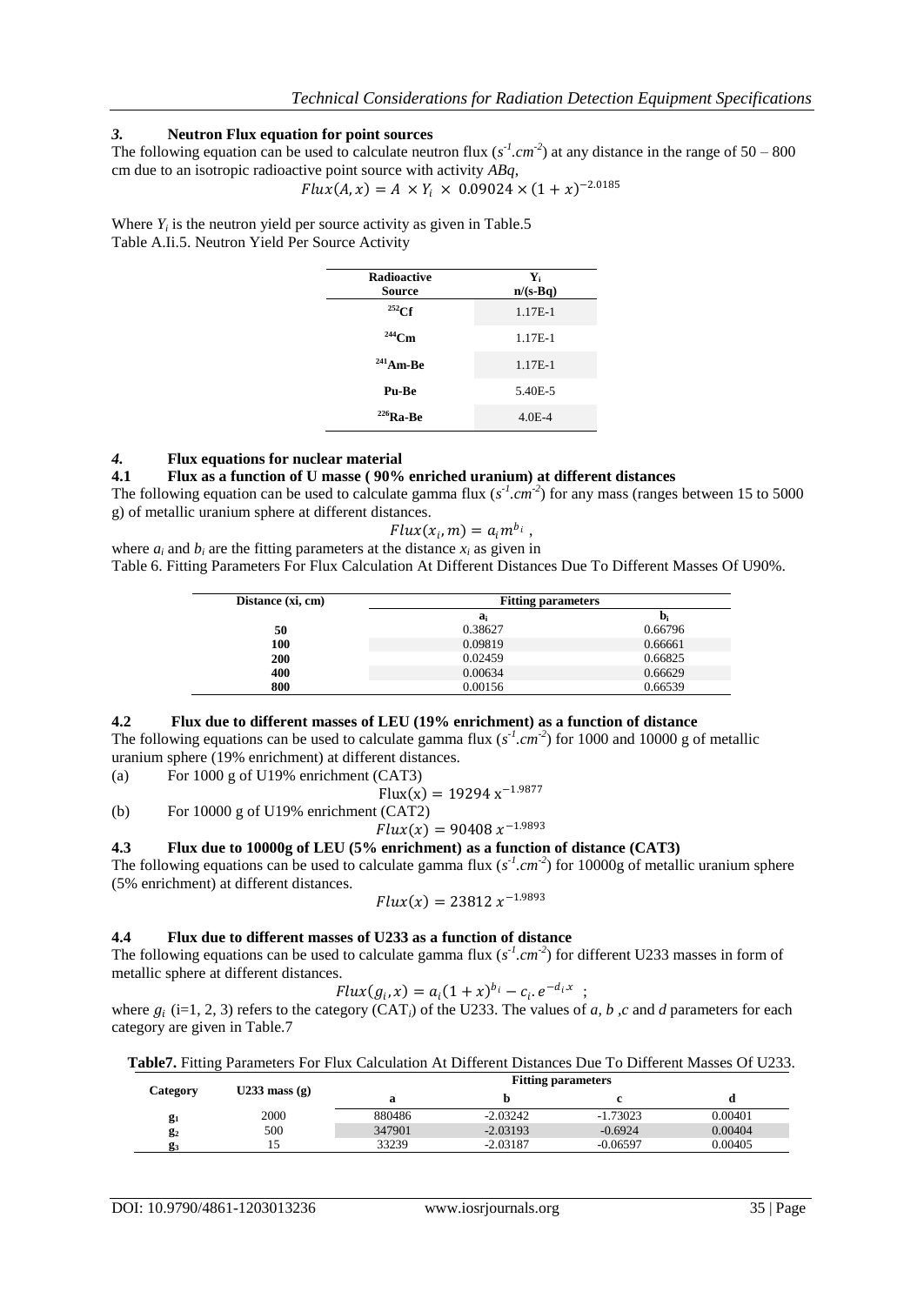## *3.* **Neutron Flux equation for point sources**

The following equation can be used to calculate neutron flux  $(s<sup>1</sup> . cm<sup>2</sup>)$  at any distance in the range of 50 – 800 cm due to an isotropic radioactive point source with activity *ABq*,

$$
Flux(A, x) = A \times Y_i \times 0.09024 \times (1 + x)^{-2.0185}
$$

Where  $Y_i$  is the neutron yield per source activity as given in Table.5 Table A.Ii.5. Neutron Yield Per Source Activity

| <b>Radioactive</b><br>Source | ${\bf Y_i}$<br>$n/(s-Bq)$ |
|------------------------------|---------------------------|
| $^{252}$ Cf                  | 1.17E-1                   |
| $244$ Cm                     | 1.17E-1                   |
| $241$ Am-Be                  | 1.17E-1                   |
| Pu-Be                        | 5.40E-5                   |
| $226$ Ra-Be                  | $4.0E-4$                  |

# *4.* **Flux equations for nuclear material**

#### **4.1 Flux as a function of U masse ( 90% enriched uranium) at different distances**

The following equation can be used to calculate gamma flux  $(s<sup>1</sup> cm<sup>2</sup>)$  for any mass (ranges between 15 to 5000 g) of metallic uranium sphere at different distances.

$$
Flux(x_i,m)=a_i m^{b_i},
$$

where  $a_i$  and  $b_i$  are the fitting parameters at the distance  $x_i$  as given in Table 6. Fitting Parameters For Flux Calculation At Different Distances Due To Different Masses Of U90%.

| Distance (xi, cm) | <b>Fitting parameters</b> |         |  |  |  |  |
|-------------------|---------------------------|---------|--|--|--|--|
|                   | $a_i$                     | b,      |  |  |  |  |
| 50                | 0.38627                   | 0.66796 |  |  |  |  |
| 100               | 0.09819                   | 0.66661 |  |  |  |  |
| 200               | 0.02459                   | 0.66825 |  |  |  |  |
| 400               | 0.00634                   | 0.66629 |  |  |  |  |
| 800               | 0.00156                   | 0.66539 |  |  |  |  |

#### **4.2 Flux due to different masses of LEU (19% enrichment) as a function of distance**

The following equations can be used to calculate gamma flux  $(s<sup>1</sup> . cm<sup>2</sup>)$  for 1000 and 10000 g of metallic uranium sphere (19% enrichment) at different distances.

(a) For 1000 g of U19% enrichment (CAT3)

 $Flux(x) = 19294 x^{-1.9877}$ 

(b) For 10000 g of U19% enrichment (CAT2)

 $Flux(x) = 90408 x^{-1.9893}$ 

#### **4.3 Flux due to 10000g of LEU (5% enrichment) as a function of distance (CAT3)**

The following equations can be used to calculate gamma flux  $(s<sup>-1</sup> cm<sup>-2</sup>)$  for 10000g of metallic uranium sphere (5% enrichment) at different distances.

$$
Flux(x) = 23812 x^{-1.9893}
$$

#### **4.4 Flux due to different masses of U233 as a function of distance**

The following equations can be used to calculate gamma flux  $(s<sup>1</sup> . cm<sup>-2</sup>)$  for different U233 masses in form of metallic sphere at different distances.

$$
Flux(g_i, x) = a_i (1 + x)^{b_i} - c_i \cdot e^{-d_i x} ;
$$

where  $g_i$  (i=1, 2, 3) refers to the category (CAT<sub>i</sub>) of the U233. The values of *a*, *b*, *c* and *d* parameters for each category are given in Table.7

| <b>Table7.</b> Fitting Parameters For Flux Calculation At Different Distances Due To Different Masses Of U233. |  |
|----------------------------------------------------------------------------------------------------------------|--|
|----------------------------------------------------------------------------------------------------------------|--|

| Category |                 | <b>Fitting parameters</b> |            |            |         |  |  |  |  |
|----------|-----------------|---------------------------|------------|------------|---------|--|--|--|--|
|          | U233 mass $(g)$ |                           |            |            |         |  |  |  |  |
| $g_1$    | 2000            | 880486                    | $-2.03242$ | $-1.73023$ | 0.00401 |  |  |  |  |
| $g_2$    | 500             | 347901                    | $-2.03193$ | $-0.6924$  | 0.00404 |  |  |  |  |
| 23       | 15              | 33239                     | $-2.03187$ | $-0.06597$ | 0.00405 |  |  |  |  |